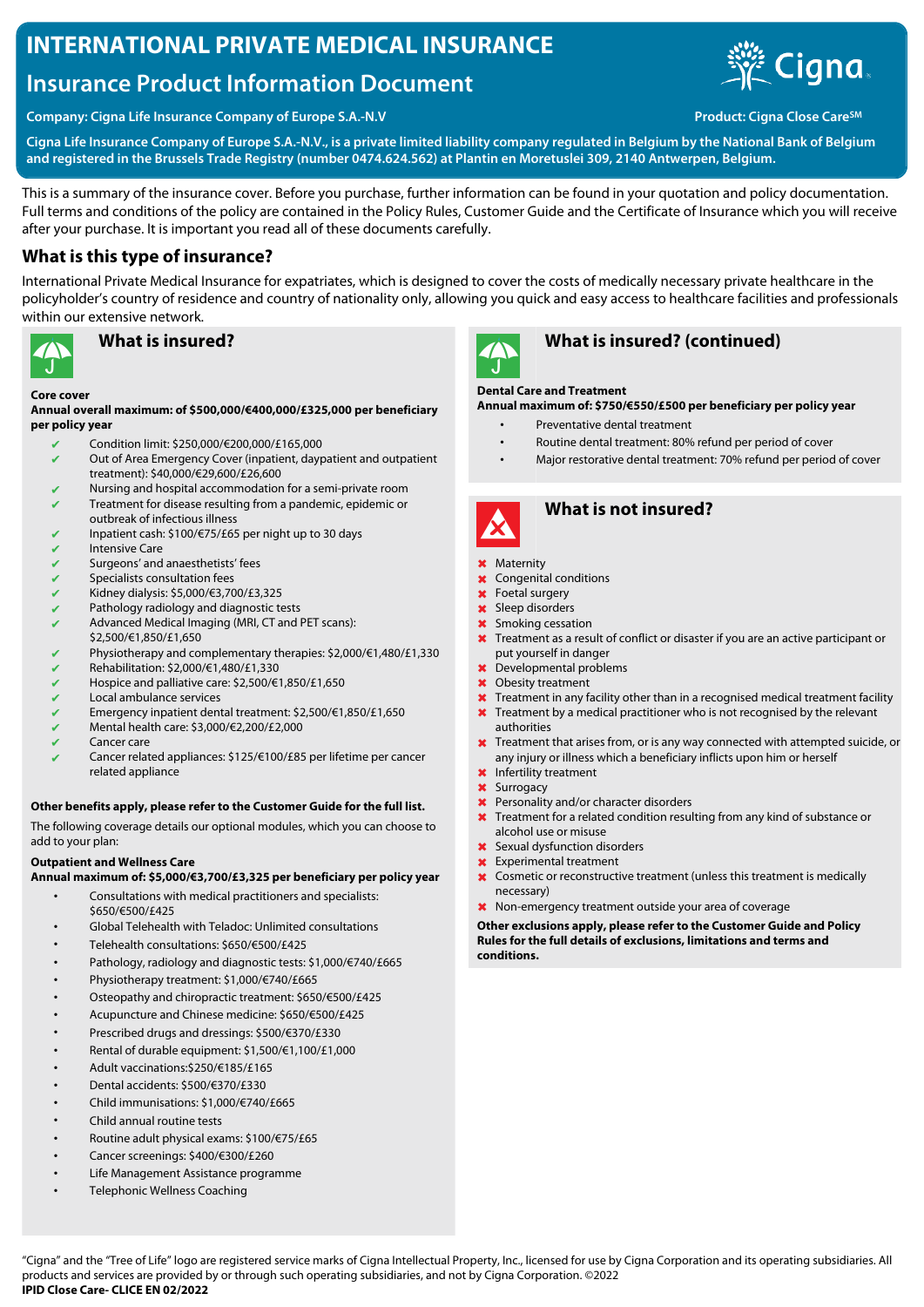# **INTERNATIONAL PRIVATE MEDICAL INSURANCE**

# **Insurance Product Information Document**



**Company: Cigna Life Insurance Company of Europe S.A.-N.V <b>Product: Cigna Close Care** SM<sub>A</sub> Product: Cigna Close Care<sup>SM</sup>

**Cigna Life Insurance Company of Europe S.A.-N.V., is a private limited liability company regulated in Belgium by the National Bank of Belgium and registered in the Brussels Trade Registry (number 0474.624.562) at Plantin en Moretuslei 309, 2140 Antwerpen, Belgium.**

This is a summary of the insurance cover. Before you purchase, further information can be found in your quotation and policy documentation. Full terms and conditions of the policy are contained in the Policy Rules, Customer Guide and the Certificate of Insurance which you will receive after your purchase. It is important you read all of these documents carefully.

# **What is this type of insurance?**

International Private Medical Insurance for expatriates, which is designed to cover the costs of medically necessary private healthcare in the policyholder's country of residence and country of nationality only, allowing you quick and easy access to healthcare facilities and professionals within our extensive network.



# **What is insured?**

#### **Core cover**

**Annual overall maximum: of \$500,000/€400,000/£325,000 per beneficiary per policy year**

- ✔ Condition limit: \$250,000/€200,000/£165,000
- $\sqrt{\phantom{a}}$  Out of Area Emergency Cover (inpatient, daypatient and outpatient treatment): \$40,000/€29,600/£26,600
- Nursing and hospital accommodation for a semi-private room ✔ Treatment for disease resulting from a pandemic, epidemic or
- outbreak of infectious illness
- ✔ Inpatient cash: \$100/€75/£65 per night up to 30 days **Intensive Care**
- 
- Surgeons' and anaesthetists' fees
- Specialists consultation fees ✔ Kidney dialysis: \$5,000/€3,700/£3,325
- 
- Pathology radiology and diagnostic tests ✔ Advanced Medical Imaging (MRI, CT and PET scans):
- \$2,500/€1,850/£1,650
- Physiotherapy and complementary therapies: \$2,000/€1,480/£1,330
- ✔ Rehabilitation: \$2,000/€1,480/£1,330
- ✔ Hospice and palliative care: \$2,500/€1,850/£1,650
- Local ambulance services
- ✔ Emergency inpatient dental treatment: \$2,500/€1,850/£1,650
- $\checkmark$  Mental health care: \$3,000/€2,200/£2,000
- ✔ Cancer care
- Cancer related appliances: \$125/€100/£85 per lifetime per cancer related appliance

### **Other benefits apply, please refer to the Customer Guide for the full list.**

The following coverage details our optional modules, which you can choose to add to your plan:

### **Outpatient and Wellness Care**

**Annual maximum of: \$5,000/€3,700/£3,325 per beneficiary per policy year**

- Consultations with medical practitioners and specialists: \$650/€500/£425
- Global Telehealth with Teladoc: Unlimited consultations
- Telehealth consultations: \$650/€500/£425
- Pathology, radiology and diagnostic tests: \$1,000/€740/£665
- Physiotherapy treatment: \$1,000/€740/£665
- Osteopathy and chiropractic treatment: \$650/€500/£425
- Acupuncture and Chinese medicine: \$650/€500/£425
- Prescribed drugs and dressings: \$500/€370/£330
- Rental of durable equipment: \$1,500/€1,100/£1,000
- Adult vaccinations:\$250/€185/£165
- Dental accidents: \$500/€370/£330
- Child immunisations: \$1,000/€740/£665
- Child annual routine tests
- Routine adult physical exams: \$100/€75/£65
- Cancer screenings: \$400/€300/£260
- Life Management Assistance programme
- Telephonic Wellness Coaching



# **What is insured? (continued)**

### **Dental Care and Treatment**

**Annual maximum of: \$750/€550/£500 per beneficiary per policy year**

- Preventative dental treatment
	- Routine dental treatment: 80% refund per period of cover
	- Major restorative dental treatment: 70% refund per period of cover



# **What is not insured?**

#### ✖ Maternity

- ✖ Congenital conditions
- ✖ Foetal surgery
- ✖ Sleep disorders
- ✖ Smoking cessation
- **X** Treatment as a result of conflict or disaster if you are an active participant or put yourself in danger
- ✖ Developmental problems
- ✖ Obesity treatment
- ✖ Treatment in any facility other than in a recognised medical treatment facility
- **X** Treatment by a medical practitioner who is not recognised by the relevant authorities
- **X** Treatment that arises from, or is any way connected with attempted suicide, or any injury or illness which a beneficiary inflicts upon him or herself
- ✖ Infertility treatment
- ✖ Surrogacy
- ✖ Personality and/or character disorders
- ✖ Treatment for a related condition resulting from any kind of substance or alcohol use or misuse
- ✖ Sexual dysfunction disorders
- ✖ Experimental treatment
- ✖ Cosmetic or reconstructive treatment (unless this treatment is medically necessary)
- ✖ Non-emergency treatment outside your area of coverage

**Other exclusions apply, please refer to the Customer Guide and Policy Rules for the full details of exclusions, limitations and terms and conditions.**